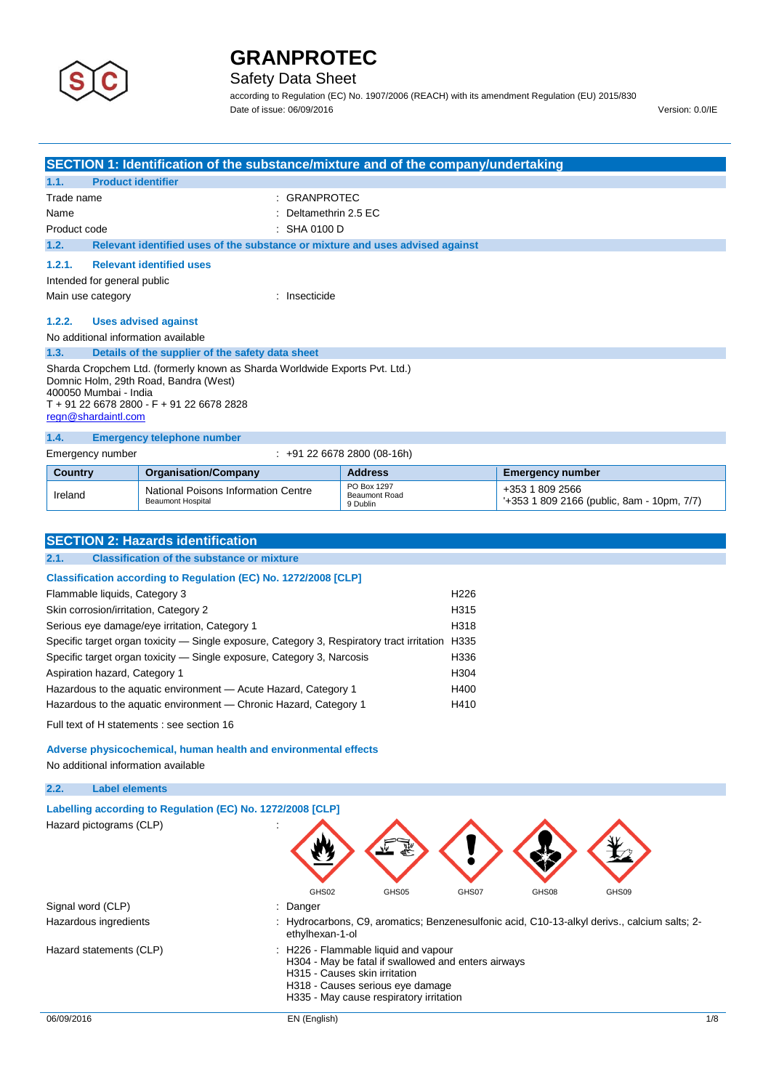

## Safety Data Sheet

according to Regulation (EC) No. 1907/2006 (REACH) with its amendment Regulation (EU) 2015/830 Date of issue: 06/09/2016 Version: 0.0/IE

|                                                                                                                                                                                                                   |                                                  | SECTION 1: Identification of the substance/mixture and of the company/undertaking |  |
|-------------------------------------------------------------------------------------------------------------------------------------------------------------------------------------------------------------------|--------------------------------------------------|-----------------------------------------------------------------------------------|--|
| 1.1.                                                                                                                                                                                                              | <b>Product identifier</b>                        |                                                                                   |  |
| Trade name                                                                                                                                                                                                        |                                                  | <b>GRANPROTEC</b>                                                                 |  |
| Name                                                                                                                                                                                                              |                                                  | Deltamethrin 2.5 EC                                                               |  |
| Product code                                                                                                                                                                                                      |                                                  | $\therefore$ SHA 0100 D                                                           |  |
| 1.2.                                                                                                                                                                                                              |                                                  | Relevant identified uses of the substance or mixture and uses advised against     |  |
| 1.2.1.                                                                                                                                                                                                            | <b>Relevant identified uses</b>                  |                                                                                   |  |
|                                                                                                                                                                                                                   | Intended for general public                      |                                                                                   |  |
| Main use category                                                                                                                                                                                                 |                                                  | : Insecticide                                                                     |  |
| 1.2.2.                                                                                                                                                                                                            | <b>Uses advised against</b>                      |                                                                                   |  |
|                                                                                                                                                                                                                   | No additional information available              |                                                                                   |  |
| 1.3.                                                                                                                                                                                                              | Details of the supplier of the safety data sheet |                                                                                   |  |
| Sharda Cropchem Ltd. (formerly known as Sharda Worldwide Exports Pvt. Ltd.)<br>Domnic Holm, 29th Road, Bandra (West)<br>400050 Mumbai - India<br>T + 91 22 6678 2800 - F + 91 22 6678 2828<br>regn@shardaintl.com |                                                  |                                                                                   |  |
| 1.4.                                                                                                                                                                                                              | <b>Emergency telephone number</b>                |                                                                                   |  |
|                                                                                                                                                                                                                   | Emergency number                                 | $\div$ +91 22 6678 2800 (08-16h)                                                  |  |

| Country | <b>Organisation/Company</b>                                     | Address                                         | Emergency number                                               |
|---------|-----------------------------------------------------------------|-------------------------------------------------|----------------------------------------------------------------|
| Ireland | National Poisons Information Centre<br><b>Beaumont Hospital</b> | PO Box 1297<br><b>Beaumont Road</b><br>9 Dublin | +353 1 809 2566<br>$+353$ 1 809 2166 (public, 8am - 10pm, 7/7) |

| <b>SECTION 2: Hazards identification</b>                                                           |                  |  |  |  |  |
|----------------------------------------------------------------------------------------------------|------------------|--|--|--|--|
| <b>Classification of the substance or mixture</b><br>2.1.                                          |                  |  |  |  |  |
| Classification according to Regulation (EC) No. 1272/2008 [CLP]                                    |                  |  |  |  |  |
| Flammable liquids, Category 3                                                                      | H <sub>226</sub> |  |  |  |  |
| Skin corrosion/irritation, Category 2                                                              | H315             |  |  |  |  |
| Serious eye damage/eye irritation, Category 1<br>H318                                              |                  |  |  |  |  |
| Specific target organ toxicity — Single exposure, Category 3, Respiratory tract irritation<br>H335 |                  |  |  |  |  |
| Specific target organ toxicity — Single exposure, Category 3, Narcosis<br>H336                     |                  |  |  |  |  |
| Aspiration hazard, Category 1                                                                      | H304             |  |  |  |  |
| Hazardous to the aquatic environment - Acute Hazard, Category 1                                    | H400             |  |  |  |  |
| Hazardous to the aquatic environment — Chronic Hazard, Category 1<br>H410                          |                  |  |  |  |  |
| Full text of H statements : see section 16                                                         |                  |  |  |  |  |

### **Adverse physicochemical, human health and environmental effects**

No additional information available

### **2.2. Label elements**

| Labelling according to Regulation (EC) No. 1272/2008 [CLP] |                                                                                                                                                                                                             |
|------------------------------------------------------------|-------------------------------------------------------------------------------------------------------------------------------------------------------------------------------------------------------------|
| Hazard pictograms (CLP)                                    |                                                                                                                                                                                                             |
|                                                            | GHS02<br>GHS05<br>GHS07<br>GHS09<br>GHS08                                                                                                                                                                   |
| Signal word (CLP)                                          | : Danger                                                                                                                                                                                                    |
| Hazardous ingredients                                      | Hydrocarbons, C9, aromatics; Benzenesulfonic acid, C10-13-alkyl derivs., calcium salts; 2-<br>ethylhexan-1-ol                                                                                               |
| Hazard statements (CLP)                                    | : H226 - Flammable liquid and vapour<br>H304 - May be fatal if swallowed and enters airways<br>H315 - Causes skin irritation<br>H318 - Causes serious eye damage<br>H335 - May cause respiratory irritation |
| 06/09/2016                                                 | EN (English)<br>$1/\epsilon$                                                                                                                                                                                |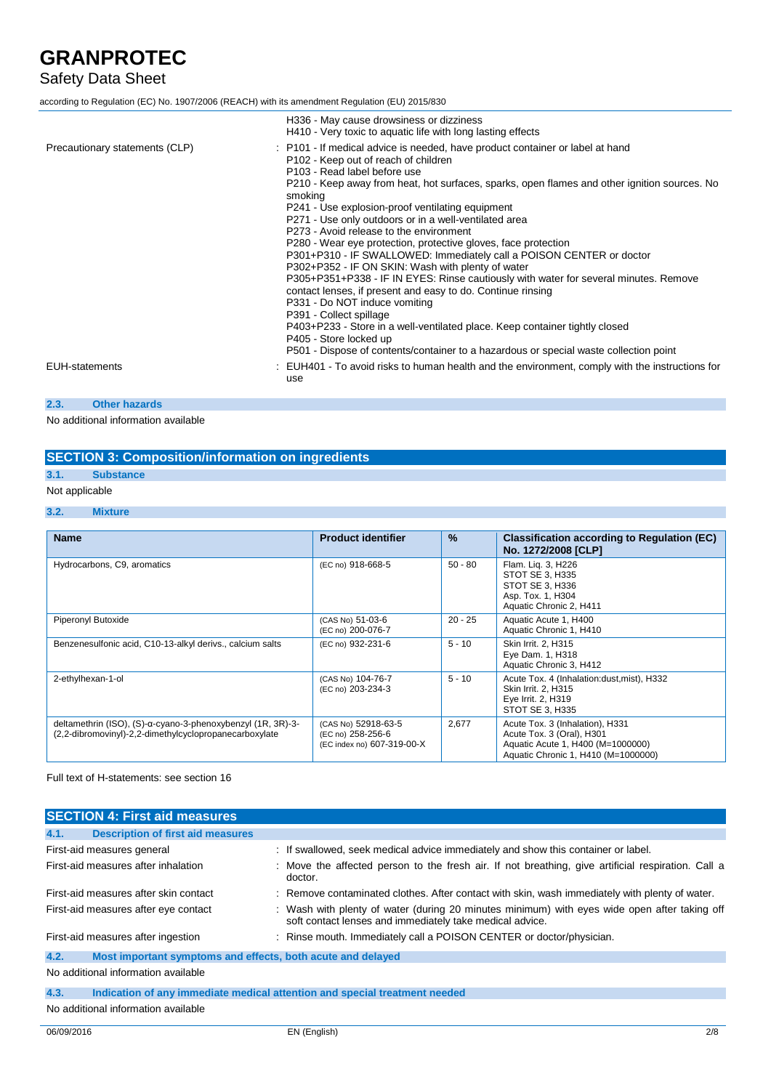## Safety Data Sheet

| according to Regulation (EC) No. 1907/2006 (REACH) with its amendment Regulation (EU) 2015/830 |                                                                                                                                                                                                                                                                                                                                                                                                                                                                                                                                                                                                                                                                                                                                                                                                                                                                                                                                                                                                                                              |  |
|------------------------------------------------------------------------------------------------|----------------------------------------------------------------------------------------------------------------------------------------------------------------------------------------------------------------------------------------------------------------------------------------------------------------------------------------------------------------------------------------------------------------------------------------------------------------------------------------------------------------------------------------------------------------------------------------------------------------------------------------------------------------------------------------------------------------------------------------------------------------------------------------------------------------------------------------------------------------------------------------------------------------------------------------------------------------------------------------------------------------------------------------------|--|
|                                                                                                | H336 - May cause drowsiness or dizziness<br>H410 - Very toxic to aquatic life with long lasting effects                                                                                                                                                                                                                                                                                                                                                                                                                                                                                                                                                                                                                                                                                                                                                                                                                                                                                                                                      |  |
| Precautionary statements (CLP)                                                                 | : P101 - If medical advice is needed, have product container or label at hand<br>P102 - Keep out of reach of children<br>P103 - Read label before use<br>P210 - Keep away from heat, hot surfaces, sparks, open flames and other ignition sources. No<br>smoking<br>P241 - Use explosion-proof ventilating equipment<br>P271 - Use only outdoors or in a well-ventilated area<br>P273 - Avoid release to the environment<br>P280 - Wear eye protection, protective gloves, face protection<br>P301+P310 - IF SWALLOWED: Immediately call a POISON CENTER or doctor<br>P302+P352 - IF ON SKIN: Wash with plenty of water<br>P305+P351+P338 - IF IN EYES: Rinse cautiously with water for several minutes. Remove<br>contact lenses, if present and easy to do. Continue rinsing<br>P331 - Do NOT induce vomiting<br>P391 - Collect spillage<br>P403+P233 - Store in a well-ventilated place. Keep container tightly closed<br>P405 - Store locked up<br>P501 - Dispose of contents/container to a hazardous or special waste collection point |  |
| <b>EUH-statements</b>                                                                          | : EUH401 - To avoid risks to human health and the environment, comply with the instructions for<br>use                                                                                                                                                                                                                                                                                                                                                                                                                                                                                                                                                                                                                                                                                                                                                                                                                                                                                                                                       |  |
| 2.3.<br><b>Other hazards</b>                                                                   |                                                                                                                                                                                                                                                                                                                                                                                                                                                                                                                                                                                                                                                                                                                                                                                                                                                                                                                                                                                                                                              |  |

No additional information available

### **SECTION 3: Composition/information on ingredients**

## **3.1. Substance**

## Not applicable

### **3.2. Mixture**

| <b>Name</b>                                                                                                           | <b>Product identifier</b>                                              | $\%$      | <b>Classification according to Regulation (EC)</b><br>No. 1272/2008 [CLP]                                                                |
|-----------------------------------------------------------------------------------------------------------------------|------------------------------------------------------------------------|-----------|------------------------------------------------------------------------------------------------------------------------------------------|
| Hydrocarbons, C9, aromatics                                                                                           | (EC no) 918-668-5                                                      | $50 - 80$ | Flam. Lig. 3, H226<br>STOT SE 3. H335<br>STOT SE 3, H336<br>Asp. Tox. 1, H304<br>Aquatic Chronic 2, H411                                 |
| Piperonyl Butoxide                                                                                                    | (CAS No) 51-03-6<br>(EC no) 200-076-7                                  | $20 - 25$ | Aquatic Acute 1, H400<br>Aquatic Chronic 1, H410                                                                                         |
| Benzenesulfonic acid, C10-13-alkyl derivs., calcium salts                                                             | (EC no) 932-231-6                                                      | $5 - 10$  | Skin Irrit. 2, H315<br>Eye Dam. 1, H318<br>Aquatic Chronic 3, H412                                                                       |
| 2-ethylhexan-1-ol                                                                                                     | (CAS No) 104-76-7<br>(EC no) 203-234-3                                 | $5 - 10$  | Acute Tox. 4 (Inhalation: dust, mist), H332<br>Skin Irrit. 2, H315<br>Eye Irrit. 2, H319<br>STOT SE 3, H335                              |
| deltamethrin (ISO), (S)-α-cyano-3-phenoxybenzyl (1R, 3R)-3-<br>(2,2-dibromovinyl)-2,2-dimethylcyclopropanecarboxylate | (CAS No) 52918-63-5<br>(EC no) 258-256-6<br>(EC index no) 607-319-00-X | 2,677     | Acute Tox. 3 (Inhalation), H331<br>Acute Tox. 3 (Oral), H301<br>Aquatic Acute 1, H400 (M=1000000)<br>Aquatic Chronic 1, H410 (M=1000000) |

Full text of H-statements: see section 16

|                                       | <b>SECTION 4: First aid measures</b>                                       |  |                                                                                                                                                          |  |  |
|---------------------------------------|----------------------------------------------------------------------------|--|----------------------------------------------------------------------------------------------------------------------------------------------------------|--|--|
| 4.1.                                  | <b>Description of first aid measures</b>                                   |  |                                                                                                                                                          |  |  |
|                                       | First-aid measures general                                                 |  | : If swallowed, seek medical advice immediately and show this container or label.                                                                        |  |  |
|                                       | First-aid measures after inhalation                                        |  | : Move the affected person to the fresh air. If not breathing, give artificial respiration. Call a<br>doctor.                                            |  |  |
| First-aid measures after skin contact |                                                                            |  | : Remove contaminated clothes. After contact with skin, wash immediately with plenty of water.                                                           |  |  |
| First-aid measures after eye contact  |                                                                            |  | : Wash with plenty of water (during 20 minutes minimum) with eyes wide open after taking off<br>soft contact lenses and immediately take medical advice. |  |  |
| First-aid measures after ingestion    |                                                                            |  | : Rinse mouth. Immediately call a POISON CENTER or doctor/physician.                                                                                     |  |  |
| 4.2.                                  | Most important symptoms and effects, both acute and delayed                |  |                                                                                                                                                          |  |  |
|                                       | No additional information available                                        |  |                                                                                                                                                          |  |  |
| 4.3.                                  | Indication of any immediate medical attention and special treatment needed |  |                                                                                                                                                          |  |  |
| No additional information available   |                                                                            |  |                                                                                                                                                          |  |  |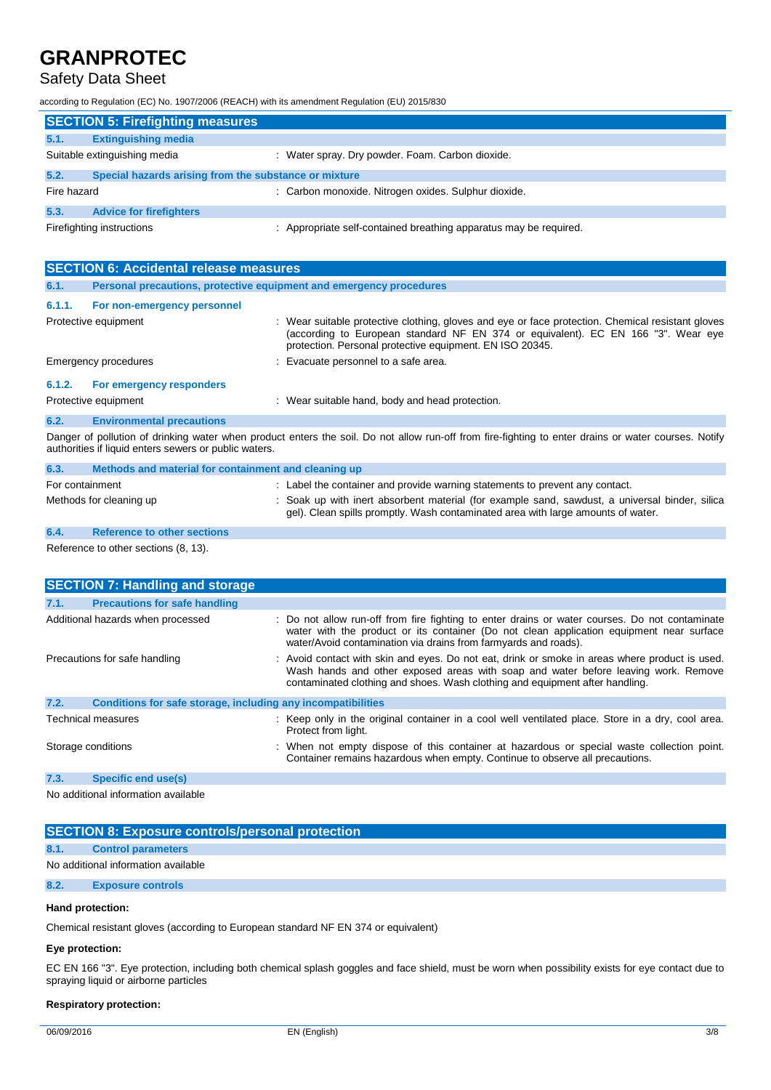## Safety Data Sheet

according to Regulation (EC) No. 1907/2006 (REACH) with its amendment Regulation (EU) 2015/830

|                           | <b>SECTION 5: Firefighting measures</b>               |                                                                 |  |  |  |
|---------------------------|-------------------------------------------------------|-----------------------------------------------------------------|--|--|--|
| 5.1.                      | <b>Extinguishing media</b>                            |                                                                 |  |  |  |
|                           | Suitable extinguishing media                          | : Water spray. Dry powder. Foam. Carbon dioxide.                |  |  |  |
| 5.2.                      | Special hazards arising from the substance or mixture |                                                                 |  |  |  |
| Fire hazard               |                                                       | : Carbon monoxide. Nitrogen oxides. Sulphur dioxide.            |  |  |  |
| 5.3.                      | <b>Advice for firefighters</b>                        |                                                                 |  |  |  |
| Firefighting instructions |                                                       | Appropriate self-contained breathing apparatus may be required. |  |  |  |

| <b>SECTION 6: Accidental release measures</b> |                                                                     |                                                                                                                                                                                                                                                    |  |
|-----------------------------------------------|---------------------------------------------------------------------|----------------------------------------------------------------------------------------------------------------------------------------------------------------------------------------------------------------------------------------------------|--|
| 6.1.                                          | Personal precautions, protective equipment and emergency procedures |                                                                                                                                                                                                                                                    |  |
| 6.1.1.                                        | For non-emergency personnel                                         |                                                                                                                                                                                                                                                    |  |
|                                               | Protective equipment                                                | : Wear suitable protective clothing, gloves and eye or face protection. Chemical resistant gloves<br>(according to European standard NF EN 374 or equivalent). EC EN 166 "3". Wear eye<br>protection. Personal protective equipment. EN ISO 20345. |  |
| Emergency procedures                          |                                                                     | : Evacuate personnel to a safe area.                                                                                                                                                                                                               |  |
| 6.1.2.                                        | For emergency responders                                            |                                                                                                                                                                                                                                                    |  |
|                                               | Protective equipment                                                | : Wear suitable hand, body and head protection.                                                                                                                                                                                                    |  |
| 6.2.                                          | <b>Environmental precautions</b>                                    |                                                                                                                                                                                                                                                    |  |
|                                               |                                                                     | ■ Barner of collection of details and concerted and control of Barner of Barner of March Mac Machine and determined and concerte                                                                                                                   |  |

Danger of pollution of drinking water when product enters the soil. Do not allow run-off from fire-fighting to enter drains or water courses. Notify authorities if liquid enters sewers or public waters.

| 6.3.                    | Methods and material for containment and cleaning up |                                                                                                                                                                                    |
|-------------------------|------------------------------------------------------|------------------------------------------------------------------------------------------------------------------------------------------------------------------------------------|
| For containment         |                                                      | : Label the container and provide warning statements to prevent any contact.                                                                                                       |
| Methods for cleaning up |                                                      | : Soak up with inert absorbent material (for example sand, sawdust, a universal binder, silica<br>gel). Clean spills promptly. Wash contaminated area with large amounts of water. |
| 6.4.                    | <b>Reference to other sections</b>                   |                                                                                                                                                                                    |

Reference to other sections (8, 13).

| <b>SECTION 7: Handling and storage</b>                               |                                                                                                                                                                                                                                                                      |  |  |  |
|----------------------------------------------------------------------|----------------------------------------------------------------------------------------------------------------------------------------------------------------------------------------------------------------------------------------------------------------------|--|--|--|
| 7.1.<br><b>Precautions for safe handling</b>                         |                                                                                                                                                                                                                                                                      |  |  |  |
| Additional hazards when processed                                    | : Do not allow run-off from fire fighting to enter drains or water courses. Do not contaminate<br>water with the product or its container (Do not clean application equipment near surface<br>water/Avoid contamination via drains from farmyards and roads).        |  |  |  |
| Precautions for safe handling                                        | : Avoid contact with skin and eyes. Do not eat, drink or smoke in areas where product is used.<br>Wash hands and other exposed areas with soap and water before leaving work. Remove<br>contaminated clothing and shoes. Wash clothing and equipment after handling. |  |  |  |
| 7.2.<br>Conditions for safe storage, including any incompatibilities |                                                                                                                                                                                                                                                                      |  |  |  |
| <b>Technical measures</b>                                            | : Keep only in the original container in a cool well ventilated place. Store in a dry, cool area.<br>Protect from light.                                                                                                                                             |  |  |  |
| Storage conditions                                                   | : When not empty dispose of this container at hazardous or special waste collection point.<br>Container remains hazardous when empty. Continue to observe all precautions.                                                                                           |  |  |  |
| 7.3.<br>Specific end use(s)                                          |                                                                                                                                                                                                                                                                      |  |  |  |

No additional information available

### **SECTION 8: Exposure controls/personal protection**

#### **8.1. Control parameters**

No additional information available

**8.2. Exposure controls**

#### **Hand protection:**

Chemical resistant gloves (according to European standard NF EN 374 or equivalent)

### **Eye protection:**

EC EN 166 "3". Eye protection, including both chemical splash goggles and face shield, must be worn when possibility exists for eye contact due to spraying liquid or airborne particles

#### **Respiratory protection:**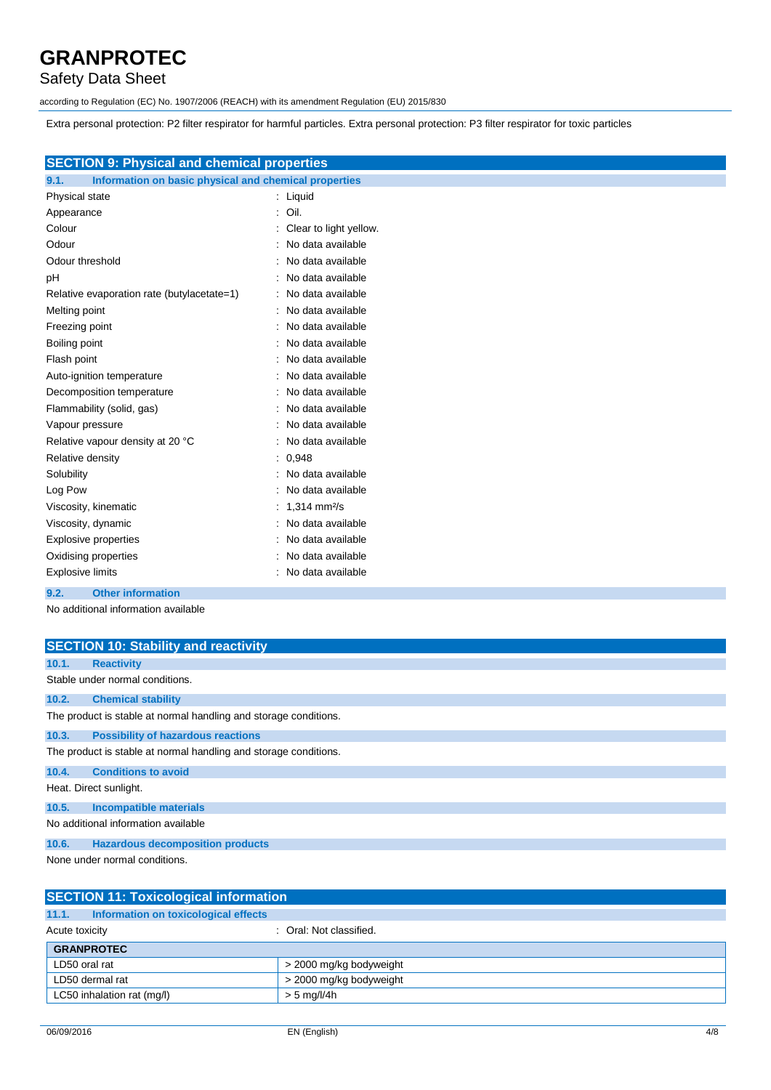## Safety Data Sheet

according to Regulation (EC) No. 1907/2006 (REACH) with its amendment Regulation (EU) 2015/830

Extra personal protection: P2 filter respirator for harmful particles. Extra personal protection: P3 filter respirator for toxic particles

| <b>SECTION 9: Physical and chemical properties</b>            |                        |
|---------------------------------------------------------------|------------------------|
| Information on basic physical and chemical properties<br>9.1. |                        |
| Physical state                                                | : Liquid               |
| Appearance                                                    | Oil.                   |
| Colour                                                        | Clear to light yellow. |
| Odour                                                         | No data available      |
| Odour threshold                                               | No data available      |
| pH                                                            | No data available      |
| Relative evaporation rate (butylacetate=1)                    | No data available      |
| Melting point                                                 | No data available      |
| Freezing point                                                | No data available      |
| Boiling point                                                 | No data available      |
| Flash point                                                   | No data available      |
| Auto-ignition temperature                                     | No data available      |
| Decomposition temperature                                     | No data available      |
| Flammability (solid, gas)                                     | No data available      |
| Vapour pressure                                               | No data available      |
| Relative vapour density at 20 °C                              | No data available      |
| Relative density                                              | : 0.948                |
| Solubility                                                    | No data available      |
| Log Pow                                                       | No data available      |
| Viscosity, kinematic                                          | 1,314 mm $\frac{2}{s}$ |
| Viscosity, dynamic                                            | No data available      |
| <b>Explosive properties</b>                                   | No data available      |
| Oxidising properties                                          | No data available      |
| <b>Explosive limits</b>                                       | No data available      |

#### **9.2. Other information**

No additional information available

|       | <b>SECTION 10: Stability and reactivity</b>                      |
|-------|------------------------------------------------------------------|
| 10.1. | <b>Reactivity</b>                                                |
|       | Stable under normal conditions.                                  |
| 10.2. | <b>Chemical stability</b>                                        |
|       | The product is stable at normal handling and storage conditions. |
| 10.3. | <b>Possibility of hazardous reactions</b>                        |
|       | The product is stable at normal handling and storage conditions. |
| 10.4. | <b>Conditions to avoid</b>                                       |
|       | Heat. Direct sunlight.                                           |
| 10.5. | Incompatible materials                                           |
|       | No additional information available                              |
| 10.6. | <b>Hazardous decomposition products</b>                          |
|       | A have a considered a second to a constitution of                |

None under normal conditions.

| <b>SECTION 11: Toxicological information</b>  |                         |  |  |
|-----------------------------------------------|-------------------------|--|--|
| Information on toxicological effects<br>11.1. |                         |  |  |
| Acute toxicity<br>: Oral: Not classified.     |                         |  |  |
| <b>GRANPROTEC</b>                             |                         |  |  |
| LD50 oral rat                                 | > 2000 mg/kg bodyweight |  |  |
| > 2000 mg/kg bodyweight<br>LD50 dermal rat    |                         |  |  |
| LC50 inhalation rat (mg/l)                    | $> 5$ mg/l/4h           |  |  |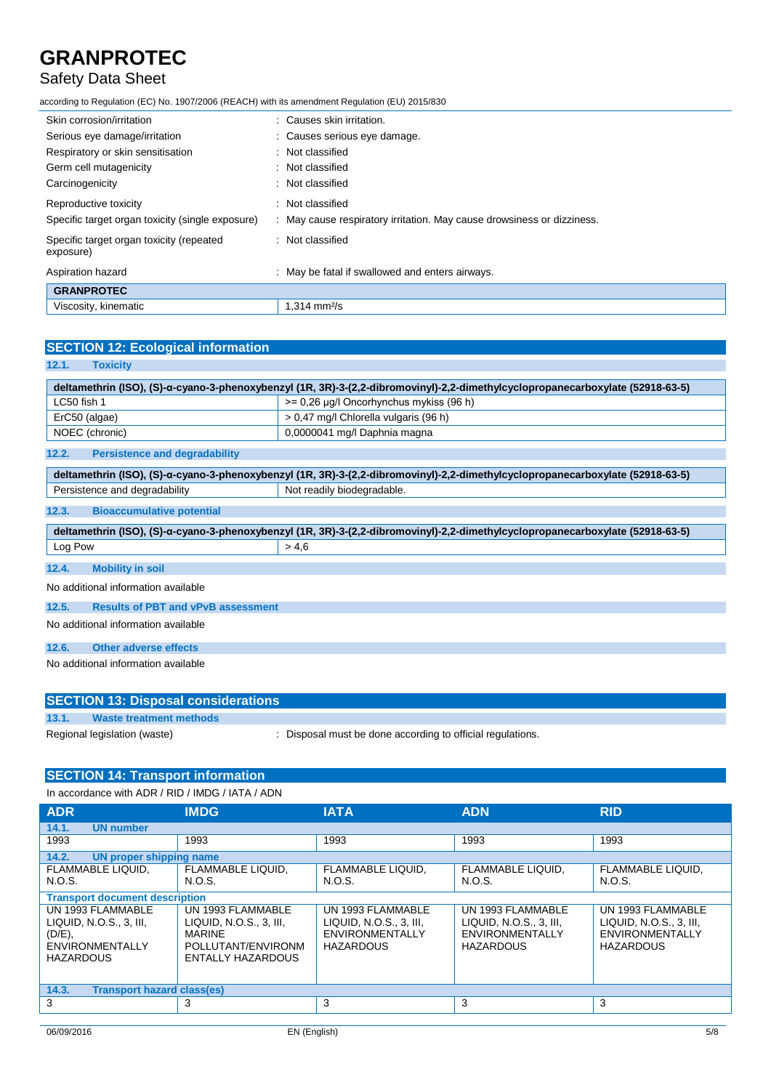## Safety Data Sheet

according to Regulation (EC) No. 1907/2006 (REACH) with its amendment Regulation (EU) 2015/830

| Skin corrosion/irritation                             | Causes skin irritation.                                              |
|-------------------------------------------------------|----------------------------------------------------------------------|
| Serious eye damage/irritation                         | : Causes serious eye damage.                                         |
| Respiratory or skin sensitisation                     | : Not classified                                                     |
| Germ cell mutagenicity                                | : Not classified                                                     |
| Carcinogenicity                                       | Not classified                                                       |
| Reproductive toxicity                                 | Not classified                                                       |
| Specific target organ toxicity (single exposure)      | May cause respiratory irritation. May cause drowsiness or dizziness. |
| Specific target organ toxicity (repeated<br>exposure) | : Not classified                                                     |
| Aspiration hazard                                     | May be fatal if swallowed and enters airways.                        |
| <b>GRANPROTEC</b>                                     |                                                                      |
| Viscosity, kinematic                                  | $1.314 \text{ mm}^2/\text{s}$                                        |

| <b>SECTION 12: Ecological information</b>          |                                                                                                                                |  |  |
|----------------------------------------------------|--------------------------------------------------------------------------------------------------------------------------------|--|--|
| 12.1.<br><b>Toxicity</b>                           |                                                                                                                                |  |  |
|                                                    | deltamethrin (ISO), (S)-a-cyano-3-phenoxybenzyl (1R, 3R)-3-(2,2-dibromovinyl)-2,2-dimethylcyclopropanecarboxylate (52918-63-5) |  |  |
| LC50 fish 1                                        | $>= 0.26$ µg/l Oncorhynchus mykiss (96 h)                                                                                      |  |  |
| ErC50 (algae)                                      | > 0,47 mg/l Chlorella vulgaris (96 h)                                                                                          |  |  |
| NOEC (chronic)                                     | 0,0000041 mg/l Daphnia magna                                                                                                   |  |  |
| <b>Persistence and degradability</b><br>12.2.      |                                                                                                                                |  |  |
|                                                    | deltamethrin (ISO), (S)-α-cyano-3-phenoxybenzyl (1R, 3R)-3-(2,2-dibromovinyl)-2,2-dimethylcyclopropanecarboxylate (52918-63-5) |  |  |
| Persistence and degradability                      | Not readily biodegradable.                                                                                                     |  |  |
| <b>Bioaccumulative potential</b><br>12.3.          |                                                                                                                                |  |  |
|                                                    | deltamethrin (ISO), (S)-a-cyano-3-phenoxybenzyl (1R, 3R)-3-(2,2-dibromovinyl)-2,2-dimethylcyclopropanecarboxylate (52918-63-5) |  |  |
| Log Pow                                            | > 4.6                                                                                                                          |  |  |
| 12.4.<br><b>Mobility in soil</b>                   |                                                                                                                                |  |  |
| No additional information available                |                                                                                                                                |  |  |
| 12.5.<br><b>Results of PBT and vPvB assessment</b> |                                                                                                                                |  |  |
| No additional information available                |                                                                                                                                |  |  |
| <b>Other adverse effects</b><br>12.6.              |                                                                                                                                |  |  |
| No additional information available                |                                                                                                                                |  |  |

| <b>SECTION 13: Disposal considerations</b> |                              |                                                            |
|--------------------------------------------|------------------------------|------------------------------------------------------------|
| 13.1.                                      | Waste treatment methods      |                                                            |
|                                            | Regional legislation (waste) | : Disposal must be done according to official regulations. |

### **SECTION 14: Transport information**

| In accordance with ADR / RID / IMDG / IATA / ADN |  |  |  |
|--------------------------------------------------|--|--|--|
|                                                  |  |  |  |

| <b>ADR</b>                                                                                           | <b>IMDG</b>                                                                                              | <b>IATA</b>                                                                                | <b>ADN</b>                                                                                 | <b>RID</b>                                                                                 |
|------------------------------------------------------------------------------------------------------|----------------------------------------------------------------------------------------------------------|--------------------------------------------------------------------------------------------|--------------------------------------------------------------------------------------------|--------------------------------------------------------------------------------------------|
| 14.1.<br><b>UN number</b>                                                                            |                                                                                                          |                                                                                            |                                                                                            |                                                                                            |
| 1993                                                                                                 | 1993                                                                                                     | 1993                                                                                       | 1993                                                                                       | 1993                                                                                       |
| 14.2.<br>UN proper shipping name                                                                     |                                                                                                          |                                                                                            |                                                                                            |                                                                                            |
| FLAMMABLE LIQUID.<br>N.O.S.                                                                          | FLAMMABLE LIQUID.<br>N.O.S.                                                                              | <b>FLAMMABLE LIQUID.</b><br>N.O.S.                                                         | <b>FLAMMABLE LIQUID.</b><br>N.O.S.                                                         | <b>FLAMMABLE LIQUID.</b><br>N.O.S.                                                         |
| <b>Transport document description</b>                                                                |                                                                                                          |                                                                                            |                                                                                            |                                                                                            |
| UN 1993 FLAMMABLE<br>LIQUID, N.O.S., 3, III,<br>(D/E),<br><b>ENVIRONMENTALLY</b><br><b>HAZARDOUS</b> | UN 1993 FLAMMABLE<br>LIQUID, N.O.S., 3, III,<br><b>MARINE</b><br>POLLUTANT/ENVIRONM<br>ENTALLY HAZARDOUS | UN 1993 FLAMMABLE<br>LIQUID, N.O.S., 3, III,<br><b>ENVIRONMENTALLY</b><br><b>HAZARDOUS</b> | UN 1993 FLAMMABLE<br>LIQUID. N.O.S., 3. III.<br><b>ENVIRONMENTALLY</b><br><b>HAZARDOUS</b> | UN 1993 FLAMMABLE<br>LIQUID, N.O.S., 3, III,<br><b>ENVIRONMENTALLY</b><br><b>HAZARDOUS</b> |
| 14.3.<br><b>Transport hazard class(es)</b>                                                           |                                                                                                          |                                                                                            |                                                                                            |                                                                                            |
| 3                                                                                                    | 3                                                                                                        | 3                                                                                          | 3                                                                                          | 3                                                                                          |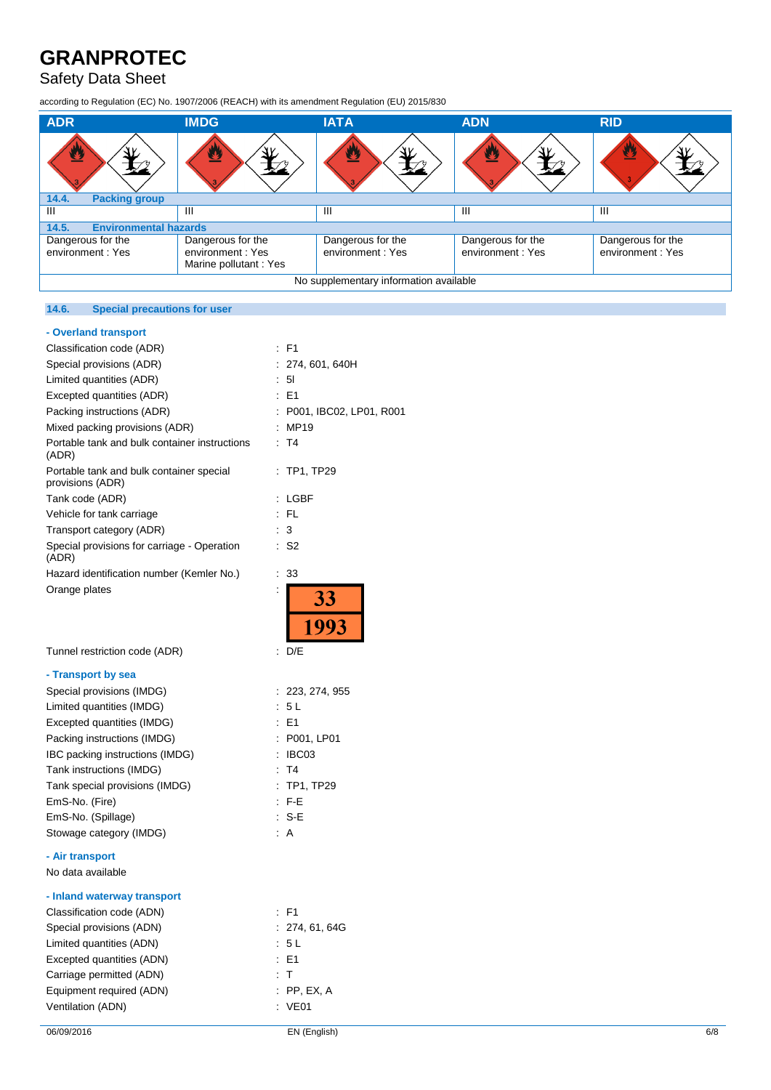## Safety Data Sheet

according to Regulation (EC) No. 1907/2006 (REACH) with its amendment Regulation (EU) 2015/830

| <b>ADR</b>                             | <b>IMDG</b>                                | <b>IATA</b>       | <b>ADN</b>        | <b>RID</b>        |  |
|----------------------------------------|--------------------------------------------|-------------------|-------------------|-------------------|--|
| ፵                                      | 32                                         | у                 | $\mathbf{C}$      | 豐                 |  |
| <b>Packing group</b><br>14.4.          |                                            |                   |                   |                   |  |
| Ш                                      | Ш                                          | $\mathbf{III}$    | Ш                 | Ш                 |  |
| 14.5.                                  | <b>Environmental hazards</b>               |                   |                   |                   |  |
| Dangerous for the                      | Dangerous for the                          | Dangerous for the | Dangerous for the | Dangerous for the |  |
| environment: Yes                       | environment: Yes<br>Marine pollutant : Yes | environment: Yes  | environment: Yes  | environment: Yes  |  |
| No supplementary information available |                                            |                   |                   |                   |  |

### **14.6. Special precautions for user**

### **- Overland transport**

| Classification code (ADR)                                    | F1<br>÷                   |
|--------------------------------------------------------------|---------------------------|
| Special provisions (ADR)                                     | 274, 601, 640H            |
| Limited quantities (ADR)                                     | : 51                      |
| Excepted quantities (ADR)                                    | $E = 1$                   |
| Packing instructions (ADR)                                   | : P001, IBC02, LP01, R001 |
| Mixed packing provisions (ADR)                               | : MP19                    |
| Portable tank and bulk container instructions<br>(ADR)       | T <sub>4</sub>            |
| Portable tank and bulk container special<br>provisions (ADR) | TP1, TP29<br>÷            |
| Tank code (ADR)                                              | LGBF                      |
| Vehicle for tank carriage                                    | $:$ FL                    |
| Transport category (ADR)                                     | 3                         |
| Special provisions for carriage - Operation<br>(ADR)         | S <sub>2</sub><br>÷       |
| Hazard identification number (Kemler No.)                    | 33<br>t                   |
| Orange plates                                                | İ<br><b>33</b><br>1993    |
| Tunnel restriction code (ADR)                                | D/E<br>t.                 |
| - Transport by sea                                           |                           |
| Special provisions (IMDG)                                    | : 223, 274, 955           |
| Limited quantities (IMDG)                                    | : 5L                      |
| Excepted quantities (IMDG)                                   | $E = 1$                   |
| Packing instructions (IMDG)                                  | : P001, LP01              |
| IBC packing instructions (IMDG)                              | : IBCO3                   |
| Tank instructions (IMDG)                                     | T4<br>÷                   |
| Tank special provisions (IMDG)                               | TP1, TP29<br>÷            |
| EmS-No. (Fire)                                               | $:$ F-E                   |
| EmS-No. (Spillage)                                           | $: S-E$                   |
| Stowage category (IMDG)                                      | : A                       |
| - Air transport                                              |                           |
| No data available                                            |                           |
| - Inland waterway transport                                  |                           |
| Classification code (ADN)                                    | $:$ F1                    |
| Special provisions (ADN)                                     | : 274, 61, 64G            |
| Limited quantities (ADN)                                     | : 5 L                     |
| Excepted quantities (ADN)                                    | $E = 1$                   |
| Carriage permitted (ADN)                                     | $\top$<br>÷               |
| Equipment required (ADN)                                     | $:$ PP, EX, A             |
| Ventilation (ADN)                                            | <b>VE01</b>               |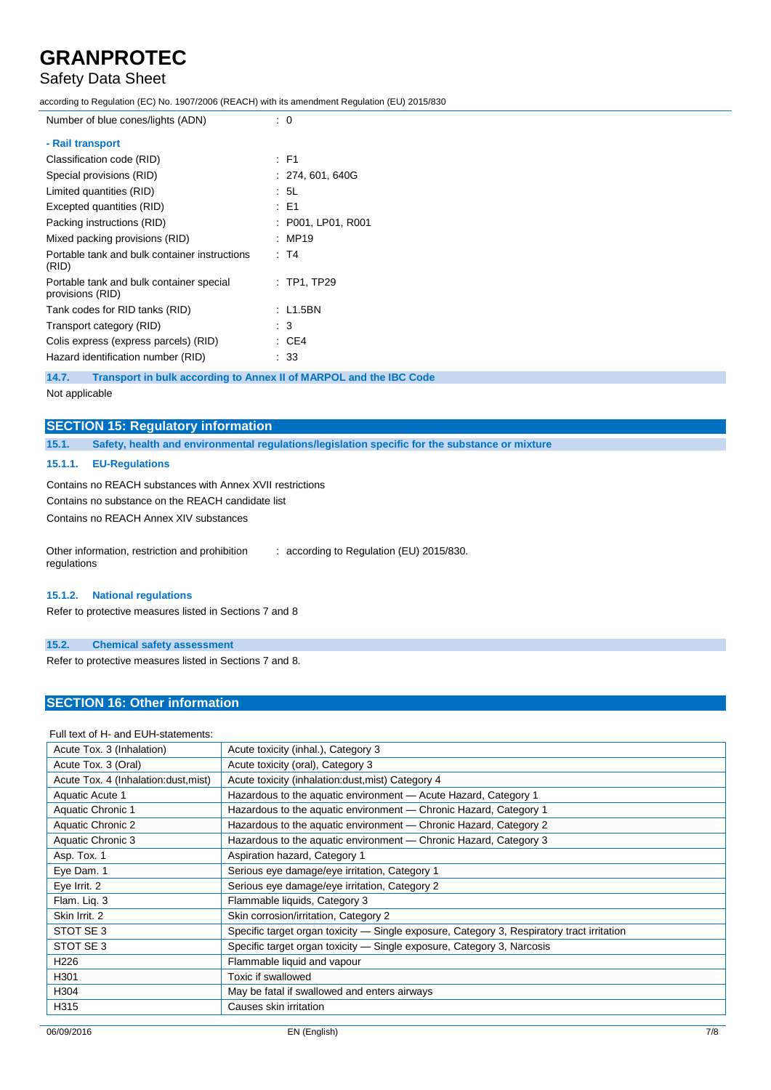## Safety Data Sheet

according to Regulation (EC) No. 1907/2006 (REACH) with its amendment Regulation (EU) 2015/830

| Number of blue cones/lights (ADN) | : 0 |
|-----------------------------------|-----|
| Doil trananart                    |     |

| - Rail transport                                             |                    |
|--------------------------------------------------------------|--------------------|
| Classification code (RID)                                    | : F1               |
| Special provisions (RID)                                     | : 274, 601, 640G   |
| Limited quantities (RID)                                     | : 5L               |
| Excepted quantities (RID)                                    | : E1               |
| Packing instructions (RID)                                   | : P001, LP01, R001 |
| Mixed packing provisions (RID)                               | : MP19             |
| Portable tank and bulk container instructions<br>(RID)       | : T4               |
| Portable tank and bulk container special<br>provisions (RID) | $:$ TP1, TP29      |
| Tank codes for RID tanks (RID)                               | : L1.5BN           |
| Transport category (RID)                                     | : 3                |
| Colis express (express parcels) (RID)                        | : CE4              |
| Hazard identification number (RID)                           | : 33               |

**14.7. Transport in bulk according to Annex II of MARPOL and the IBC Code**

Not applicable

### **SECTION 15: Regulatory information**

**15.1. Safety, health and environmental regulations/legislation specific for the substance or mixture**

#### **15.1.1. EU-Regulations**

Contains no REACH substances with Annex XVII restrictions Contains no substance on the REACH candidate list

Contains no REACH Annex XIV substances

Other information, restriction and prohibition regulations : according to Regulation (EU) 2015/830.

#### **15.1.2. National regulations**

Refer to protective measures listed in Sections 7 and 8

#### **15.2. Chemical safety assessment**

Refer to protective measures listed in Sections 7 and 8.

### **SECTION 16: Other information**

#### Full text of H- and EUH-statements:

| Acute Tox. 3 (Inhalation)             | Acute toxicity (inhal.), Category 3                                                        |
|---------------------------------------|--------------------------------------------------------------------------------------------|
| Acute Tox. 3 (Oral)                   | Acute toxicity (oral), Category 3                                                          |
| Acute Tox. 4 (Inhalation: dust, mist) | Acute toxicity (inhalation: dust, mist) Category 4                                         |
| Aquatic Acute 1                       | Hazardous to the aquatic environment - Acute Hazard, Category 1                            |
| Aquatic Chronic 1                     | Hazardous to the aquatic environment - Chronic Hazard, Category 1                          |
| Aquatic Chronic 2                     | Hazardous to the aquatic environment - Chronic Hazard, Category 2                          |
| Aquatic Chronic 3                     | Hazardous to the aquatic environment - Chronic Hazard, Category 3                          |
| Asp. Tox. 1                           | Aspiration hazard, Category 1                                                              |
| Eye Dam. 1                            | Serious eye damage/eye irritation, Category 1                                              |
| Eye Irrit. 2                          | Serious eye damage/eye irritation, Category 2                                              |
| Flam. Lig. 3                          | Flammable liquids, Category 3                                                              |
| Skin Irrit, 2                         | Skin corrosion/irritation, Category 2                                                      |
| STOT SE 3                             | Specific target organ toxicity — Single exposure, Category 3, Respiratory tract irritation |
| STOT SE 3                             | Specific target organ toxicity - Single exposure, Category 3, Narcosis                     |
| H <sub>226</sub>                      | Flammable liquid and vapour                                                                |
| H301                                  | Toxic if swallowed                                                                         |
| H304                                  | May be fatal if swallowed and enters airways                                               |
| H315                                  | Causes skin irritation                                                                     |